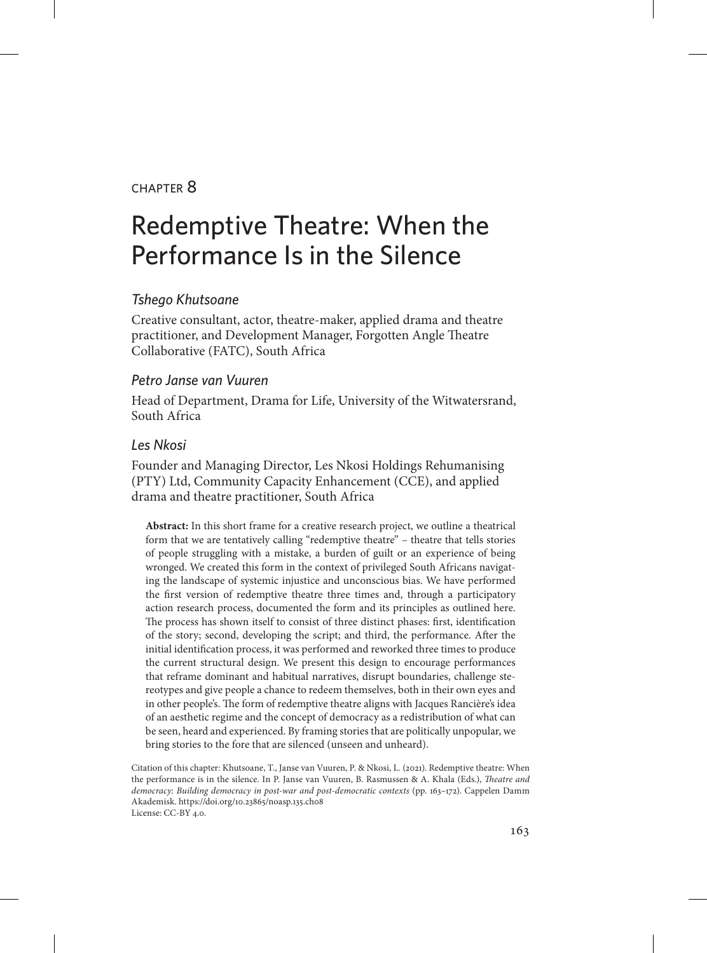### chapter 8

# Redemptive Theatre: When the Performance Is in the Silence

### *Tshego Khutsoane*

Creative consultant, actor, theatre-maker, applied drama and theatre practitioner, and Development Manager, Forgotten Angle Theatre Collaborative (FATC), South Africa

### *Petro Janse van Vuuren*

Head of Department, Drama for Life, University of the Witwatersrand, South Africa

#### *Les Nkosi*

Founder and Managing Director, Les Nkosi Holdings Rehumanising (PTY) Ltd, Community Capacity Enhancement (CCE), and applied drama and theatre practitioner, South Africa

**Abstract:** In this short frame for a creative research project, we outline a theatrical form that we are tentatively calling "redemptive theatre" – theatre that tells stories of people struggling with a mistake, a burden of guilt or an experience of being wronged. We created this form in the context of privileged South Africans navigating the landscape of systemic injustice and unconscious bias. We have performed the first version of redemptive theatre three times and, through a participatory action research process, documented the form and its principles as outlined here. The process has shown itself to consist of three distinct phases: first, identification of the story; second, developing the script; and third, the performance. After the initial identification process, it was performed and reworked three times to produce the current structural design. We present this design to encourage performances that reframe dominant and habitual narratives, disrupt boundaries, challenge stereotypes and give people a chance to redeem themselves, both in their own eyes and in other people's. The form of redemptive theatre aligns with Jacques Rancière's idea of an aesthetic regime and the concept of democracy as a redistribution of what can be seen, heard and experienced. By framing stories that are politically unpopular, we bring stories to the fore that are silenced (unseen and unheard).

Citation of this chapter: Khutsoane, T., Janse van Vuuren, P. & Nkosi, L. (2021). Redemptive theatre: When the performance is in the silence. In P. Janse van Vuuren, B. Rasmussen & A. Khala (Eds.), *Theatre and democracy: Building democracy in post-war and post-democratic contexts* (pp. 163–172). Cappelen Damm Akademisk. https://doi.org/10.23865/noasp.135.ch08 License: CC-BY 4.0.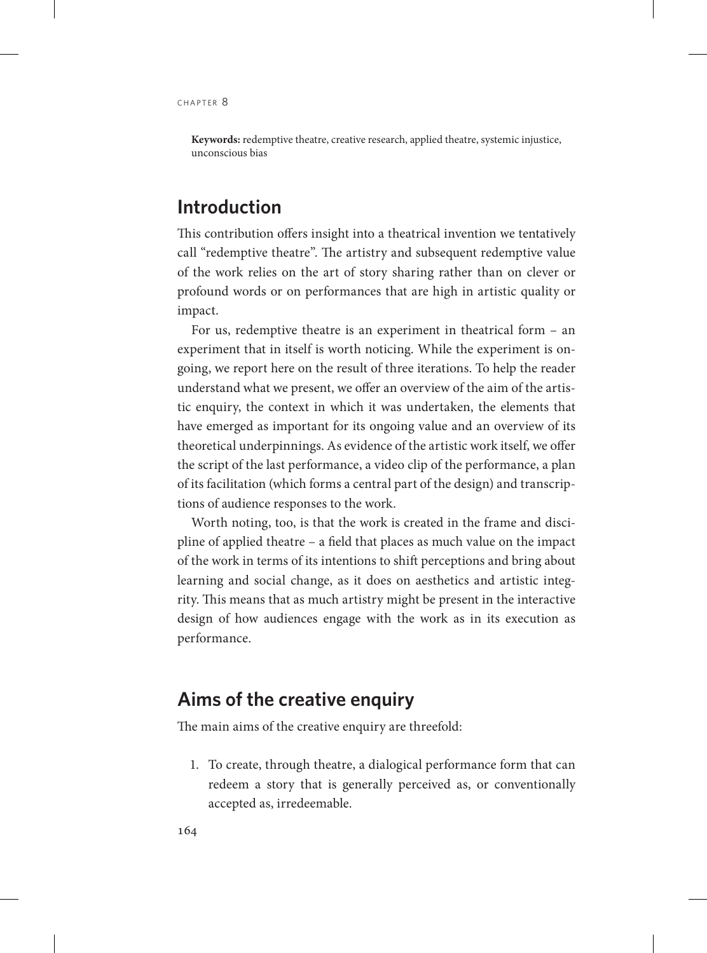**Keywords:** redemptive theatre, creative research, applied theatre, systemic injustice, unconscious bias

## **Introduction**

This contribution offers insight into a theatrical invention we tentatively call "redemptive theatre". The artistry and subsequent redemptive value of the work relies on the art of story sharing rather than on clever or profound words or on performances that are high in artistic quality or impact.

For us, redemptive theatre is an experiment in theatrical form – an experiment that in itself is worth noticing. While the experiment is ongoing, we report here on the result of three iterations. To help the reader understand what we present, we offer an overview of the aim of the artistic enquiry, the context in which it was undertaken, the elements that have emerged as important for its ongoing value and an overview of its theoretical underpinnings. As evidence of the artistic work itself, we offer the script of the last performance, a video clip of the performance, a plan of its facilitation (which forms a central part of the design) and transcriptions of audience responses to the work.

Worth noting, too, is that the work is created in the frame and discipline of applied theatre – a field that places as much value on the impact of the work in terms of its intentions to shift perceptions and bring about learning and social change, as it does on aesthetics and artistic integrity. This means that as much artistry might be present in the interactive design of how audiences engage with the work as in its execution as performance.

## **Aims of the creative enquiry**

The main aims of the creative enquiry are threefold:

1. To create, through theatre, a dialogical performance form that can redeem a story that is generally perceived as, or conventionally accepted as, irredeemable.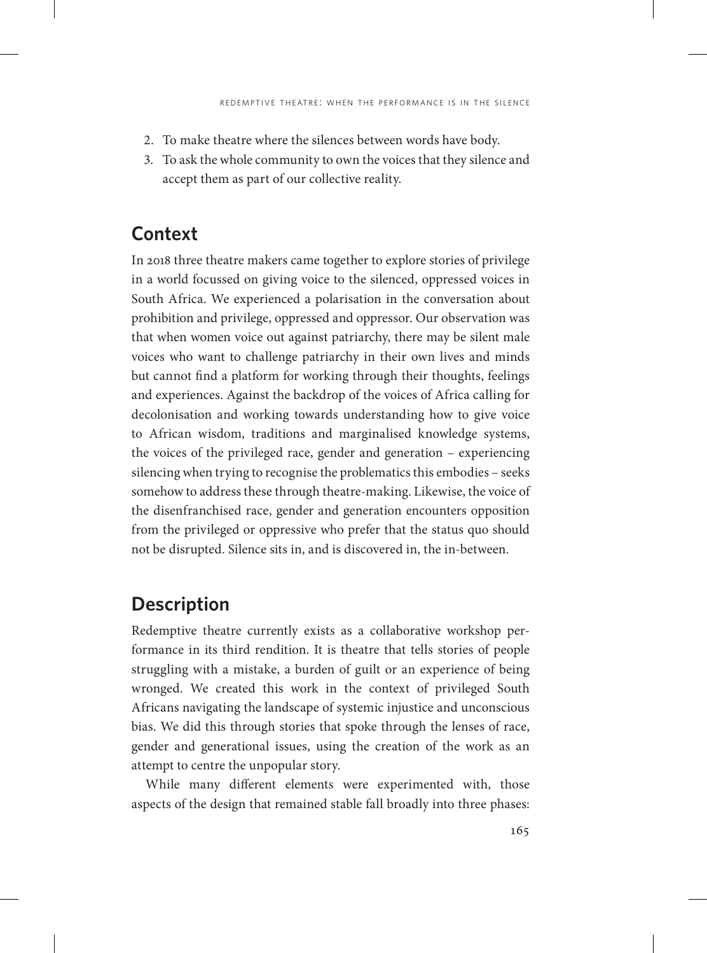- 2. To make theatre where the silences between words have body.
- 3. To ask the whole community to own the voices that they silence and accept them as part of our collective reality.

# **Context**

In 2018 three theatre makers came together to explore stories of privilege in a world focussed on giving voice to the silenced, oppressed voices in South Africa. We experienced a polarisation in the conversation about prohibition and privilege, oppressed and oppressor. Our observation was that when women voice out against patriarchy, there may be silent male voices who want to challenge patriarchy in their own lives and minds but cannot find a platform for working through their thoughts, feelings and experiences. Against the backdrop of the voices of Africa calling for decolonisation and working towards understanding how to give voice to African wisdom, traditions and marginalised knowledge systems, the voices of the privileged race, gender and generation – experiencing silencing when trying to recognise the problematics this embodies – seeks somehow to address these through theatre-making. Likewise, the voice of the disenfranchised race, gender and generation encounters opposition from the privileged or oppressive who prefer that the status quo should not be disrupted. Silence sits in, and is discovered in, the in-between.

# **Description**

Redemptive theatre currently exists as a collaborative workshop performance in its third rendition. It is theatre that tells stories of people struggling with a mistake, a burden of guilt or an experience of being wronged. We created this work in the context of privileged South Africans navigating the landscape of systemic injustice and unconscious bias. We did this through stories that spoke through the lenses of race, gender and generational issues, using the creation of the work as an attempt to centre the unpopular story.

While many different elements were experimented with, those aspects of the design that remained stable fall broadly into three phases: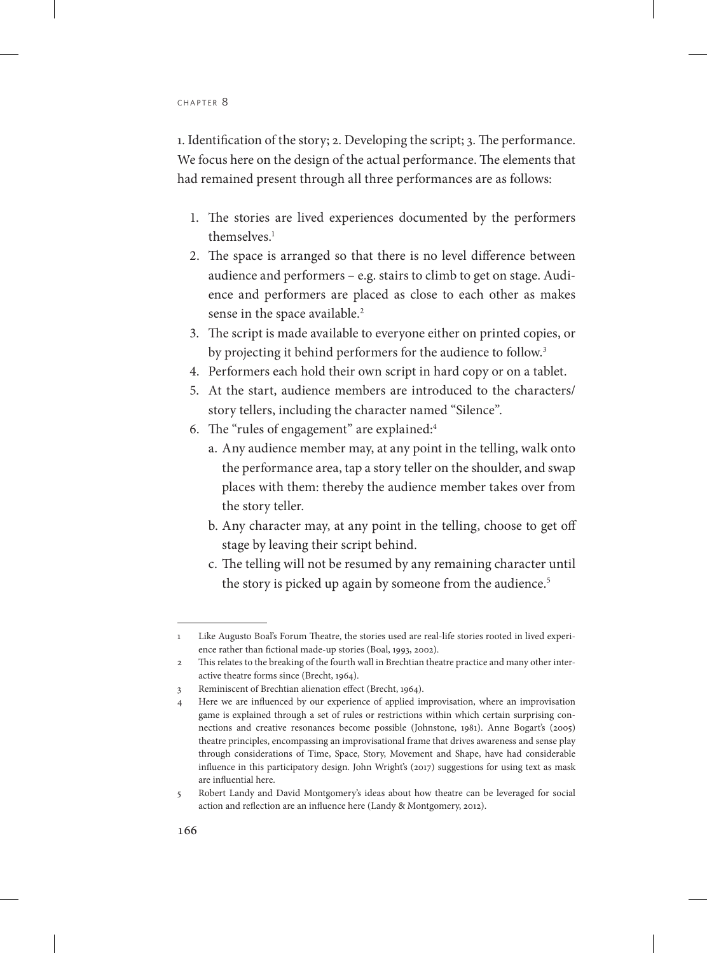1. Identification of the story; 2. Developing the script; 3. The performance. We focus here on the design of the actual performance. The elements that had remained present through all three performances are as follows:

- 1. The stories are lived experiences documented by the performers themselves<sup>1</sup>
- 2. The space is arranged so that there is no level difference between audience and performers – e.g. stairs to climb to get on stage. Audience and performers are placed as close to each other as makes sense in the space available.<sup>2</sup>
- 3. The script is made available to everyone either on printed copies, or by projecting it behind performers for the audience to follow.<sup>3</sup>
- 4. Performers each hold their own script in hard copy or on a tablet.
- 5. At the start, audience members are introduced to the characters/ story tellers, including the character named "Silence".
- 6. The "rules of engagement" are explained:4
	- a. Any audience member may, at any point in the telling, walk onto the performance area, tap a story teller on the shoulder, and swap places with them: thereby the audience member takes over from the story teller.
	- b. Any character may, at any point in the telling, choose to get off stage by leaving their script behind.
	- c. The telling will not be resumed by any remaining character until the story is picked up again by someone from the audience.<sup>5</sup>

<sup>1</sup> Like Augusto Boal's Forum Theatre, the stories used are real-life stories rooted in lived experience rather than fictional made-up stories (Boal, 1993, 2002).

<sup>2</sup> This relates to the breaking of the fourth wall in Brechtian theatre practice and many other interactive theatre forms since (Brecht, 1964).

<sup>3</sup> Reminiscent of Brechtian alienation effect (Brecht, 1964).

<sup>4</sup> Here we are influenced by our experience of applied improvisation, where an improvisation game is explained through a set of rules or restrictions within which certain surprising connections and creative resonances become possible (Johnstone, 1981). Anne Bogart's (2005) theatre principles, encompassing an improvisational frame that drives awareness and sense play through considerations of Time, Space, Story, Movement and Shape, have had considerable influence in this participatory design. John Wright's (2017) suggestions for using text as mask are influential here.

<sup>5</sup> Robert Landy and David Montgomery's ideas about how theatre can be leveraged for social action and reflection are an influence here (Landy & Montgomery, 2012).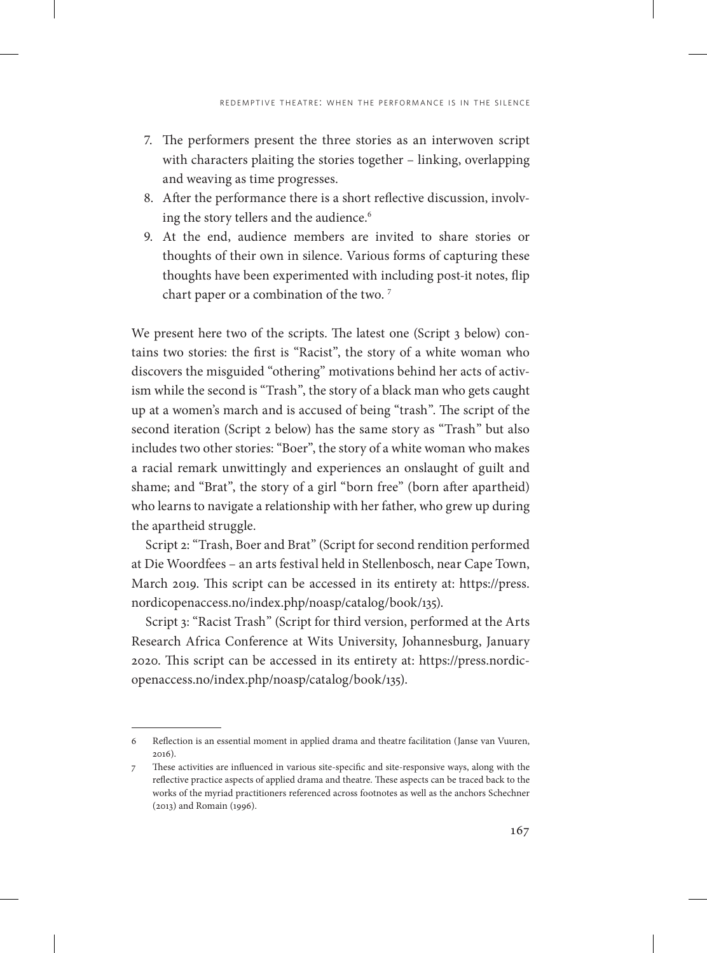- 7. The performers present the three stories as an interwoven script with characters plaiting the stories together – linking, overlapping and weaving as time progresses.
- 8. After the performance there is a short reflective discussion, involving the story tellers and the audience.<sup>6</sup>
- 9. At the end, audience members are invited to share stories or thoughts of their own in silence. Various forms of capturing these thoughts have been experimented with including post-it notes, flip chart paper or a combination of the two.<sup>7</sup>

We present here two of the scripts. The latest one (Script 3 below) contains two stories: the first is "Racist", the story of a white woman who discovers the misguided "othering" motivations behind her acts of activism while the second is "Trash", the story of a black man who gets caught up at a women's march and is accused of being "trash". The script of the second iteration (Script 2 below) has the same story as "Trash" but also includes two other stories: "Boer", the story of a white woman who makes a racial remark unwittingly and experiences an onslaught of guilt and shame; and "Brat", the story of a girl "born free" (born after apartheid) who learns to navigate a relationship with her father, who grew up during the apartheid struggle.

Script 2: "Trash, Boer and Brat" (Script for second rendition performed at Die Woordfees – an arts festival held in Stellenbosch, near Cape Town, March 2019. This script can be accessed in its entirety at: [https://press.](https://press.nordicopenaccess.no/index.php/noasp/catalog/book/135) [nordicopenaccess.no/index.php/noasp/catalog/book/135\)](https://press.nordicopenaccess.no/index.php/noasp/catalog/book/135).

Script 3: "Racist Trash" (Script for third version, performed at the Arts Research Africa Conference at Wits University, Johannesburg, January 2020. This script can be accessed in its entirety at: https://press.nordicopenaccess.no/index.php/noasp/catalog/book/135).

<sup>6</sup> Reflection is an essential moment in applied drama and theatre facilitation (Janse van Vuuren, 2016).

<sup>7</sup> These activities are influenced in various site-specific and site-responsive ways, along with the reflective practice aspects of applied drama and theatre. These aspects can be traced back to the works of the myriad practitioners referenced across footnotes as well as the anchors Schechner (2013) and Romain (1996).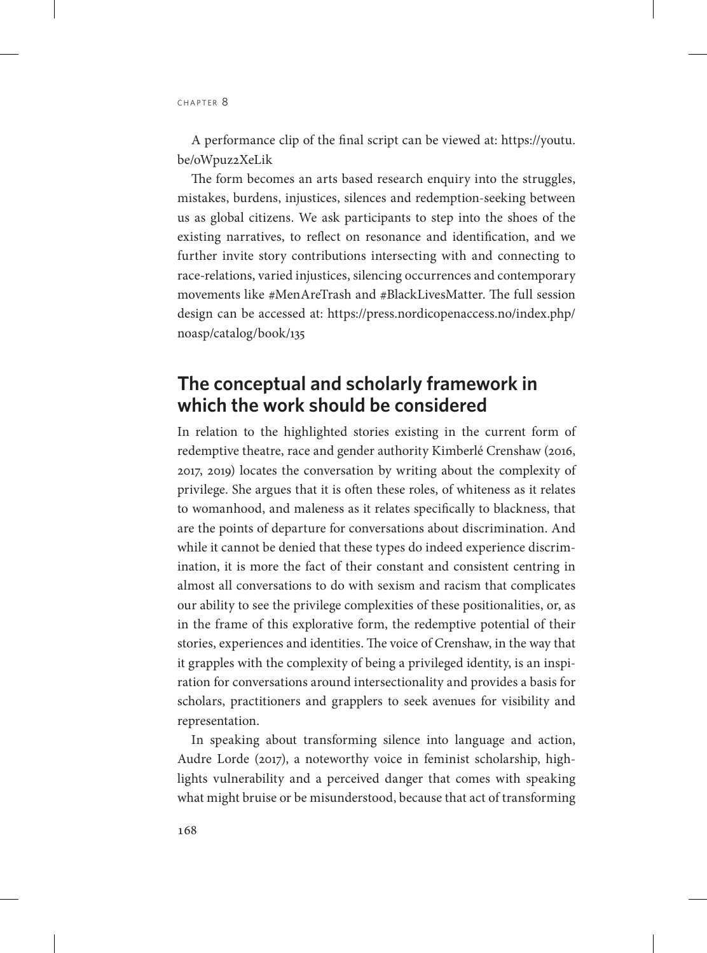A performance clip of the final script can be viewed at: [https://youtu.](https://youtu.be/oWpuz2XeLik) [be/oWpuz2XeLik](https://youtu.be/oWpuz2XeLik)

The form becomes an arts based research enquiry into the struggles, mistakes, burdens, injustices, silences and redemption-seeking between us as global citizens. We ask participants to step into the shoes of the existing narratives, to reflect on resonance and identification, and we further invite story contributions intersecting with and connecting to race-relations, varied injustices, silencing occurrences and contemporary movements like #MenAreTrash and #BlackLivesMatter. The full session design can be accessed at: [https://press.nordicopenaccess.no/index.php/](https://press.nordicopenaccess.no/index.php/noasp/catalog/book/135) [noasp/catalog/book/135](https://press.nordicopenaccess.no/index.php/noasp/catalog/book/135)

## **The conceptual and scholarly framework in which the work should be considered**

In relation to the highlighted stories existing in the current form of redemptive theatre, race and gender authority Kimberlé Crenshaw (2016, 2017, 2019) locates the conversation by writing about the complexity of privilege. She argues that it is often these roles, of whiteness as it relates to womanhood, and maleness as it relates specifically to blackness, that are the points of departure for conversations about discrimination. And while it cannot be denied that these types do indeed experience discrimination, it is more the fact of their constant and consistent centring in almost all conversations to do with sexism and racism that complicates our ability to see the privilege complexities of these positionalities, or, as in the frame of this explorative form, the redemptive potential of their stories, experiences and identities. The voice of Crenshaw, in the way that it grapples with the complexity of being a privileged identity, is an inspiration for conversations around intersectionality and provides a basis for scholars, practitioners and grapplers to seek avenues for visibility and representation.

In speaking about transforming silence into language and action, Audre Lorde (2017), a noteworthy voice in feminist scholarship, highlights vulnerability and a perceived danger that comes with speaking what might bruise or be misunderstood, because that act of transforming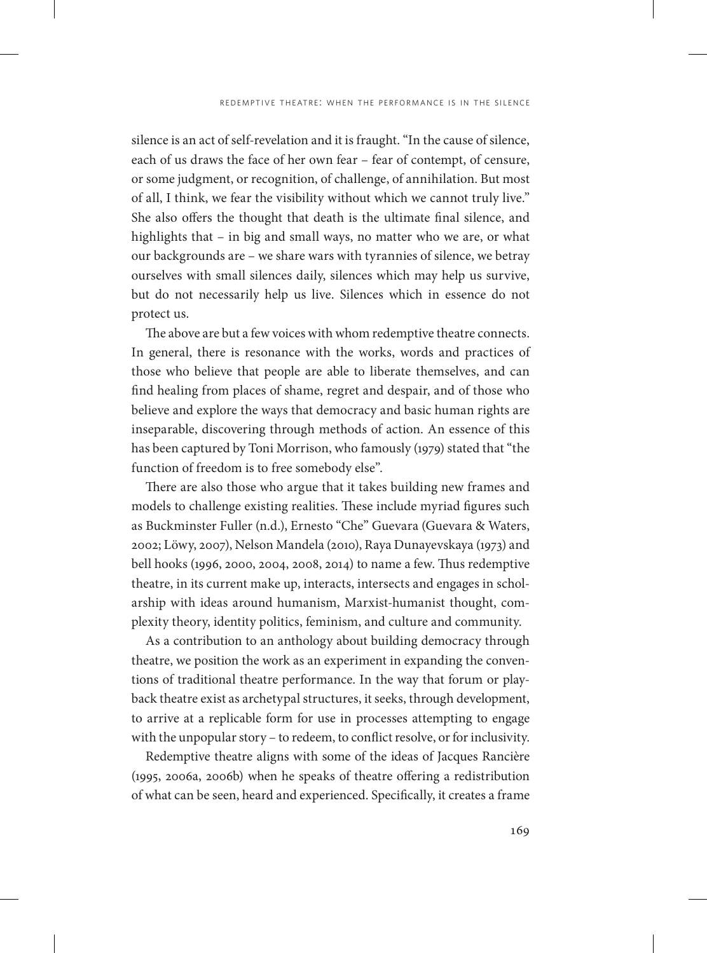silence is an act of self-revelation and it is fraught. "In the cause of silence, each of us draws the face of her own fear – fear of contempt, of censure, or some judgment, or recognition, of challenge, of annihilation. But most of all, I think, we fear the visibility without which we cannot truly live." She also offers the thought that death is the ultimate final silence, and highlights that – in big and small ways, no matter who we are, or what our backgrounds are – we share wars with tyrannies of silence, we betray ourselves with small silences daily, silences which may help us survive, but do not necessarily help us live. Silences which in essence do not protect us.

The above are but a few voices with whom redemptive theatre connects. In general, there is resonance with the works, words and practices of those who believe that people are able to liberate themselves, and can find healing from places of shame, regret and despair, and of those who believe and explore the ways that democracy and basic human rights are inseparable, discovering through methods of action. An essence of this has been captured by Toni Morrison, who famously (1979) stated that "the function of freedom is to free somebody else".

There are also those who argue that it takes building new frames and models to challenge existing realities. These include myriad figures such as Buckminster Fuller (n.d.), Ernesto "Che" Guevara (Guevara & Waters, 2002; Löwy, 2007), Nelson Mandela (2010), Raya Dunayevskaya (1973) and bell hooks (1996, 2000, 2004, 2008, 2014) to name a few. Thus redemptive theatre, in its current make up, interacts, intersects and engages in scholarship with ideas around humanism, Marxist-humanist thought, complexity theory, identity politics, feminism, and culture and community.

As a contribution to an anthology about building democracy through theatre, we position the work as an experiment in expanding the conventions of traditional theatre performance. In the way that forum or playback theatre exist as archetypal structures, it seeks, through development, to arrive at a replicable form for use in processes attempting to engage with the unpopular story – to redeem, to conflict resolve, or for inclusivity.

Redemptive theatre aligns with some of the ideas of Jacques Rancière (1995, 2006a, 2006b) when he speaks of theatre offering a redistribution of what can be seen, heard and experienced. Specifically, it creates a frame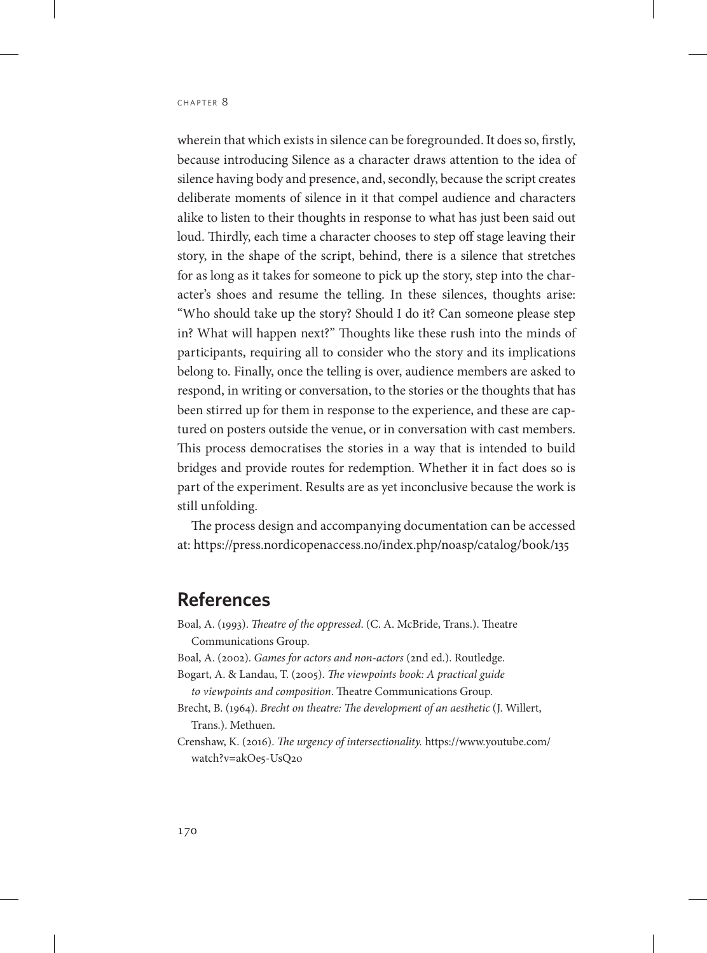wherein that which exists in silence can be foregrounded. It does so, firstly, because introducing Silence as a character draws attention to the idea of silence having body and presence, and, secondly, because the script creates deliberate moments of silence in it that compel audience and characters alike to listen to their thoughts in response to what has just been said out loud. Thirdly, each time a character chooses to step off stage leaving their story, in the shape of the script, behind, there is a silence that stretches for as long as it takes for someone to pick up the story, step into the character's shoes and resume the telling. In these silences, thoughts arise: "Who should take up the story? Should I do it? Can someone please step in? What will happen next?" Thoughts like these rush into the minds of participants, requiring all to consider who the story and its implications belong to. Finally, once the telling is over, audience members are asked to respond, in writing or conversation, to the stories or the thoughts that has been stirred up for them in response to the experience, and these are captured on posters outside the venue, or in conversation with cast members. This process democratises the stories in a way that is intended to build bridges and provide routes for redemption. Whether it in fact does so is part of the experiment. Results are as yet inconclusive because the work is still unfolding.

The process design and accompanying documentation can be accessed at: https://press.nordicopenaccess.no/index.php/noasp/catalog/book/135

## **References**

- Boal, A. (1993). *Theatre of the oppressed*. (C. A. McBride, Trans.). Theatre Communications Group.
- Boal, A. (2002). *Games for actors and non-actors* (2nd ed.). Routledge.
- Bogart, A. & Landau, T. (2005). *The viewpoints book: A practical guide to viewpoints and composition*. Theatre Communications Group.
- Brecht, B. (1964). *Brecht on theatre: The development of an aesthetic* (J. Willert, Trans.). Methuen.
- Crenshaw, K. (2016). *The urgency of intersectionality.* [https://www.youtube.com/](https://www.youtube.com/watch?v=akOe5-UsQ2o) [watch?v=akOe5-UsQ2o](https://www.youtube.com/watch?v=akOe5-UsQ2o)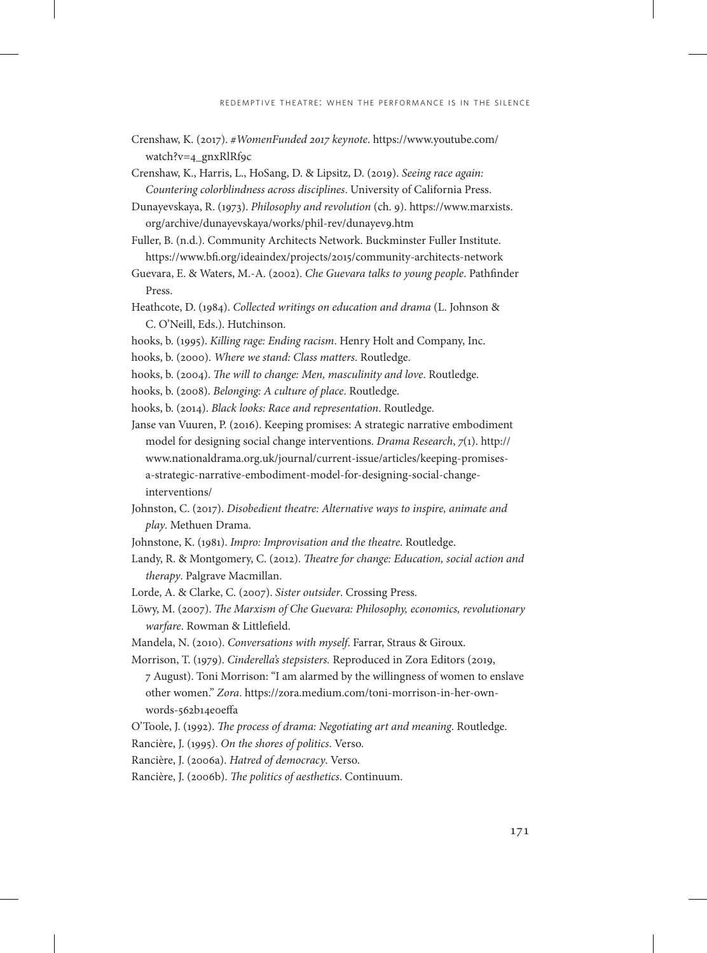- Crenshaw, K. (2017). *#WomenFunded 2017 keynote*. [https://www.youtube.com/](https://www.youtube.com/watch?v=4_gnxRlRf9c) [watch?v=4\\_gnxRlRf9c](https://www.youtube.com/watch?v=4_gnxRlRf9c)
- Crenshaw, K., Harris, L., HoSang, D. & Lipsitz, D. (2019). *Seeing race again: Countering colorblindness across disciplines*. University of California Press.
- Dunayevskaya, R. (1973). *Philosophy and revolution* (ch. 9). [https://www.marxists.](https://www.marxists.org/archive/dunayevskaya/works/phil-rev/dunayev9.htm) [org/archive/dunayevskaya/works/phil-rev/dunayev9.htm](https://www.marxists.org/archive/dunayevskaya/works/phil-rev/dunayev9.htm)
- Fuller, B. (n.d.). Community Architects Network. Buckminster Fuller Institute. https://www.bfi.org/ideaindex/projects/2015/community-architects-network
- Guevara, E. & Waters, M.-A. (2002). *Che Guevara talks to young people*. Pathfinder Press.
- Heathcote, D. (1984). *Collected writings on education and drama* (L. Johnson & C. O'Neill, Eds.). Hutchinson.
- hooks, b. (1995). *Killing rage: Ending racism*. Henry Holt and Company, Inc.
- hooks, b. (2000). *Where we stand: Class matters*. Routledge.
- hooks, b. (2004). *The will to change: Men, masculinity and love*. Routledge.
- hooks, b. (2008). *Belonging: A culture of place*. Routledge.
- hooks, b. (2014). *Black looks: Race and representation*. Routledge.

Janse van Vuuren, P. (2016). Keeping promises: A strategic narrative embodiment model for designing social change interventions. *Drama Research*, *7*(1). [http://](http://www.nationaldrama.org.uk/journal/current-issue/articles/keeping-promisesa-strategic-narrative-embodiment-model-for-designing-social-changeinterventions/) [www.nationaldrama.org.uk/journal/current-issue/articles/keeping-promises](http://www.nationaldrama.org.uk/journal/current-issue/articles/keeping-promisesa-strategic-narrative-embodiment-model-for-designing-social-changeinterventions/)[a-strategic-narrative-embodiment-model-for-designing-social-change](http://www.nationaldrama.org.uk/journal/current-issue/articles/keeping-promisesa-strategic-narrative-embodiment-model-for-designing-social-changeinterventions/)[interventions/](http://www.nationaldrama.org.uk/journal/current-issue/articles/keeping-promisesa-strategic-narrative-embodiment-model-for-designing-social-changeinterventions/)

- Johnston, C. (2017). *Disobedient theatre: Alternative ways to inspire, animate and play*. Methuen Drama.
- Johnstone, K. (1981). *Impro: Improvisation and the theatre*. Routledge.
- Landy, R. & Montgomery, C. (2012). *Theatre for change: Education, social action and therapy*. Palgrave Macmillan.
- Lorde, A. & Clarke, C. (2007). *Sister outsider*. Crossing Press.
- Löwy, M. (2007). *The Marxism of Che Guevara: Philosophy, economics, revolutionary warfare*. Rowman & Littlefield.
- Mandela, N. (2010). *Conversations with myself*. Farrar, Straus & Giroux.
- Morrison, T. (1979). *Cinderella's stepsisters.* Reproduced in Zora Editors (2019, 7 August). Toni Morrison: "I am alarmed by the willingness of women to enslave other women." *Zora*. https://zora.medium.com/toni-morrison-in-her-ownwords-562b14e0effa
- O'Toole, J. (1992). *The process of drama: Negotiating art and meaning*. Routledge.
- Rancière, J. (1995). *On the shores of politics*. Verso.
- Rancière, J. (2006a). *Hatred of democracy*. Verso.
- Rancière, J. (2006b). *The politics of aesthetics*. Continuum.